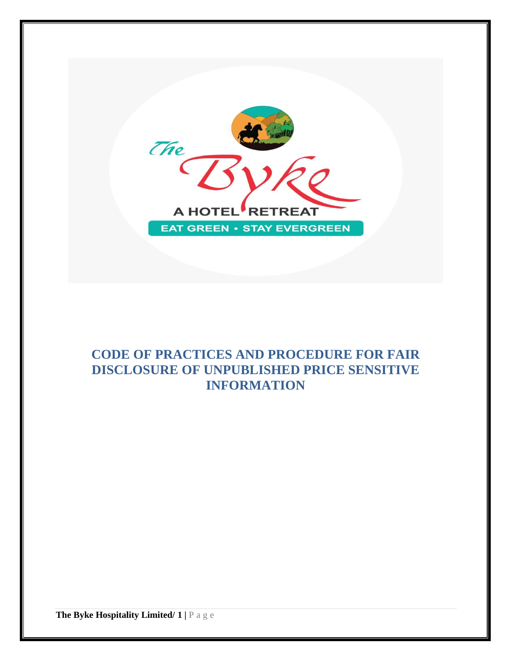

# **CODE OF PRACTICES AND PROCEDURE FOR FAIR DISCLOSURE OF UNPUBLISHED PRICE SENSITIVE INFORMATION**

**The Byke Hospitality Limited/ 1 |** P a g e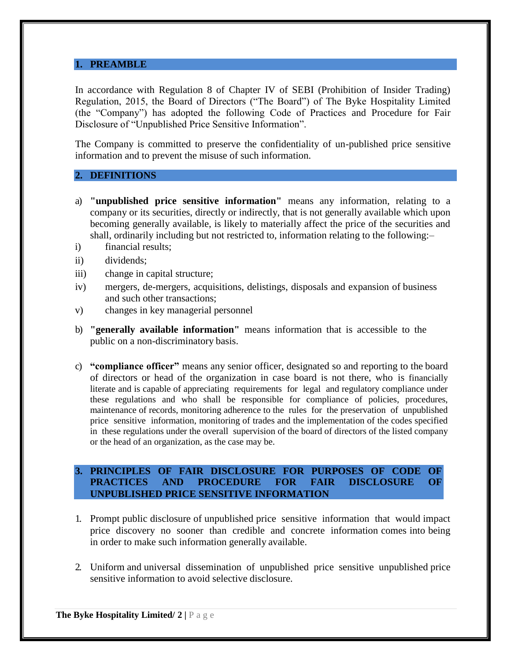# **1. PREAMBLE**

In accordance with Regulation 8 of Chapter IV of SEBI (Prohibition of Insider Trading) Regulation, 2015, the Board of Directors ("The Board") of The Byke Hospitality Limited (the "Company") has adopted the following Code of Practices and Procedure for Fair Disclosure of "Unpublished Price Sensitive Information".

The Company is committed to preserve the confidentiality of un-published price sensitive information and to prevent the misuse of such information.

## **2. DEFINITIONS**

- a) **"unpublished price sensitive information"** means any information, relating to a company or its securities, directly or indirectly, that is not generally available which upon becoming generally available, is likely to materially affect the price of the securities and shall, ordinarily including but not restricted to, information relating to the following:–
- i) financial results;
- ii) dividends;
- iii) change in capital structure;
- iv) mergers, de-mergers, acquisitions, delistings, disposals and expansion of business and such other transactions;
- v) changes in key managerial personnel
- b) **"generally available information"** means information that is accessible to the public on a non-discriminatory basis.
- c) **"compliance officer"** means any senior officer, designated so and reporting to the board of directors or head of the organization in case board is not there, who is financially literate and is capable of appreciating requirements for legal and regulatory compliance under these regulations and who shall be responsible for compliance of policies, procedures, maintenance of records, monitoring adherence to the rules for the preservation of unpublished price sensitive information, monitoring of trades and the implementation of the codes specified in these regulations under the overall supervision of the board of directors of the listed company or the head of an organization, as the case may be.

## **3. PRINCIPLES OF FAIR DISCLOSURE FOR PURPOSES OF CODE OF PRACTICES AND PROCEDURE FOR FAIR DISCLOSURE OF UNPUBLISHED PRICE SENSITIVE INFORMATION**

- 1. Prompt public disclosure of unpublished price sensitive information that would impact price discovery no sooner than credible and concrete information comes into being in order to make such information generally available.
- 2. Uniform and universal dissemination of unpublished price sensitive unpublished price sensitive information to avoid selective disclosure.

**The Byke Hospitality Limited/ 2 |** P a g e